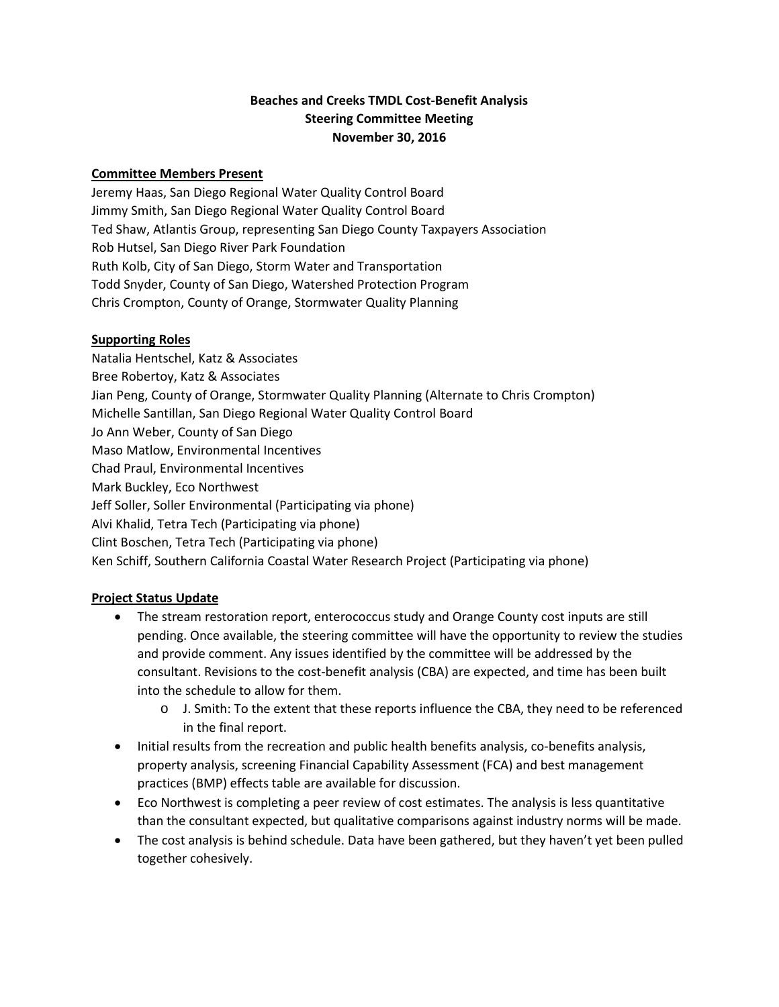## **Beaches and Creeks TMDL Cost-Benefit Analysis Steering Committee Meeting November 30, 2016**

### **Committee Members Present**

Jeremy Haas, San Diego Regional Water Quality Control Board Jimmy Smith, San Diego Regional Water Quality Control Board Ted Shaw, Atlantis Group, representing San Diego County Taxpayers Association Rob Hutsel, San Diego River Park Foundation Ruth Kolb, City of San Diego, Storm Water and Transportation Todd Snyder, County of San Diego, Watershed Protection Program Chris Crompton, County of Orange, Stormwater Quality Planning

### **Supporting Roles**

Natalia Hentschel, Katz & Associates Bree Robertoy, Katz & Associates Jian Peng, County of Orange, Stormwater Quality Planning (Alternate to Chris Crompton) Michelle Santillan, San Diego Regional Water Quality Control Board Jo Ann Weber, County of San Diego Maso Matlow, Environmental Incentives Chad Praul, Environmental Incentives Mark Buckley, Eco Northwest Jeff Soller, Soller Environmental (Participating via phone) Alvi Khalid, Tetra Tech (Participating via phone) Clint Boschen, Tetra Tech (Participating via phone) Ken Schiff, Southern California Coastal Water Research Project (Participating via phone)

## **Project Status Update**

- The stream restoration report, enterococcus study and Orange County cost inputs are still pending. Once available, the steering committee will have the opportunity to review the studies and provide comment. Any issues identified by the committee will be addressed by the consultant. Revisions to the cost-benefit analysis (CBA) are expected, and time has been built into the schedule to allow for them.
	- o J. Smith: To the extent that these reports influence the CBA, they need to be referenced in the final report.
- Initial results from the recreation and public health benefits analysis, co-benefits analysis, property analysis, screening Financial Capability Assessment (FCA) and best management practices (BMP) effects table are available for discussion.
- Eco Northwest is completing a peer review of cost estimates. The analysis is less quantitative than the consultant expected, but qualitative comparisons against industry norms will be made.
- The cost analysis is behind schedule. Data have been gathered, but they haven't yet been pulled together cohesively.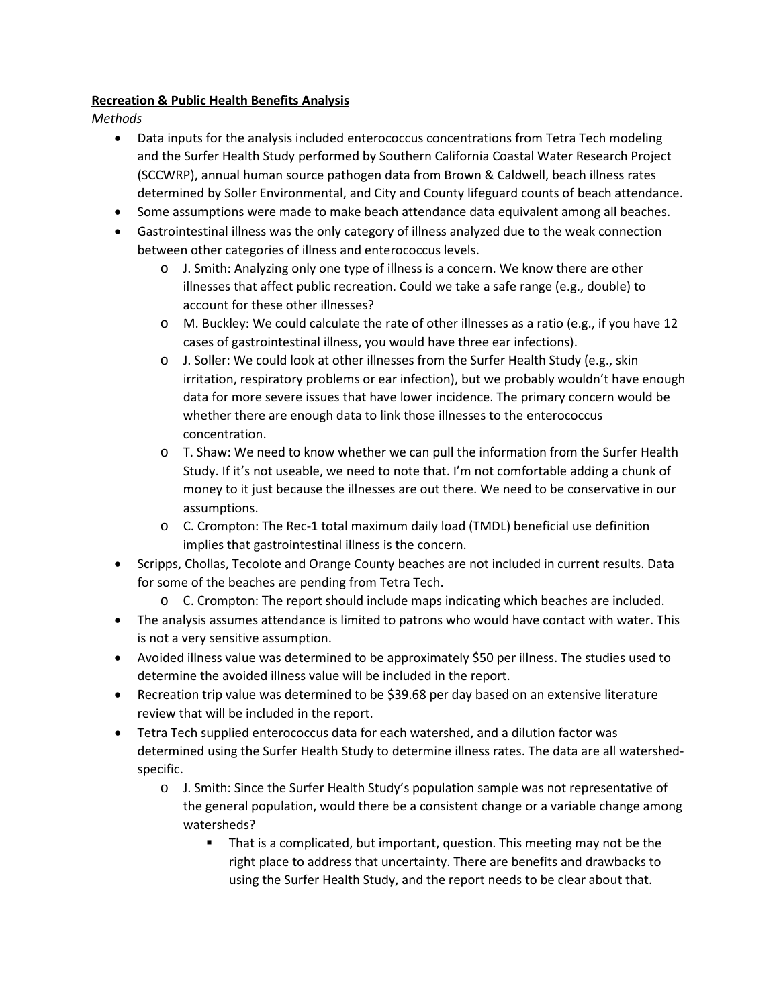### **Recreation & Public Health Benefits Analysis**

*Methods*

- Data inputs for the analysis included enterococcus concentrations from Tetra Tech modeling and the Surfer Health Study performed by Southern California Coastal Water Research Project (SCCWRP), annual human source pathogen data from Brown & Caldwell, beach illness rates determined by Soller Environmental, and City and County lifeguard counts of beach attendance.
- Some assumptions were made to make beach attendance data equivalent among all beaches.
- Gastrointestinal illness was the only category of illness analyzed due to the weak connection between other categories of illness and enterococcus levels.
	- o J. Smith: Analyzing only one type of illness is a concern. We know there are other illnesses that affect public recreation. Could we take a safe range (e.g., double) to account for these other illnesses?
	- o M. Buckley: We could calculate the rate of other illnesses as a ratio (e.g., if you have 12 cases of gastrointestinal illness, you would have three ear infections).
	- o J. Soller: We could look at other illnesses from the Surfer Health Study (e.g., skin irritation, respiratory problems or ear infection), but we probably wouldn't have enough data for more severe issues that have lower incidence. The primary concern would be whether there are enough data to link those illnesses to the enterococcus concentration.
	- $\circ$  T. Shaw: We need to know whether we can pull the information from the Surfer Health Study. If it's not useable, we need to note that. I'm not comfortable adding a chunk of money to it just because the illnesses are out there. We need to be conservative in our assumptions.
	- o C. Crompton: The Rec-1 total maximum daily load (TMDL) beneficial use definition implies that gastrointestinal illness is the concern.
- Scripps, Chollas, Tecolote and Orange County beaches are not included in current results. Data for some of the beaches are pending from Tetra Tech.
	- o C. Crompton: The report should include maps indicating which beaches are included.
- The analysis assumes attendance is limited to patrons who would have contact with water. This is not a very sensitive assumption.
- Avoided illness value was determined to be approximately \$50 per illness. The studies used to determine the avoided illness value will be included in the report.
- Recreation trip value was determined to be \$39.68 per day based on an extensive literature review that will be included in the report.
- Tetra Tech supplied enterococcus data for each watershed, and a dilution factor was determined using the Surfer Health Study to determine illness rates. The data are all watershedspecific.
	- o J. Smith: Since the Surfer Health Study's population sample was not representative of the general population, would there be a consistent change or a variable change among watersheds?
		- That is a complicated, but important, question. This meeting may not be the right place to address that uncertainty. There are benefits and drawbacks to using the Surfer Health Study, and the report needs to be clear about that.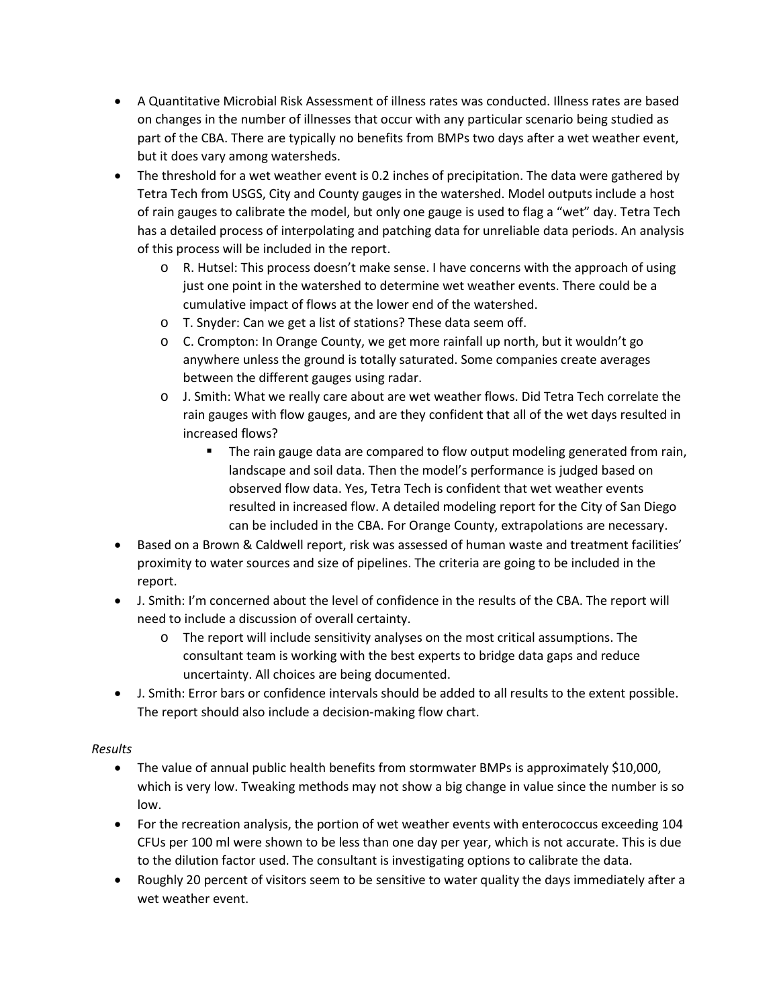- A Quantitative Microbial Risk Assessment of illness rates was conducted. Illness rates are based on changes in the number of illnesses that occur with any particular scenario being studied as part of the CBA. There are typically no benefits from BMPs two days after a wet weather event, but it does vary among watersheds.
- The threshold for a wet weather event is 0.2 inches of precipitation. The data were gathered by Tetra Tech from USGS, City and County gauges in the watershed. Model outputs include a host of rain gauges to calibrate the model, but only one gauge is used to flag a "wet" day. Tetra Tech has a detailed process of interpolating and patching data for unreliable data periods. An analysis of this process will be included in the report.
	- o R. Hutsel: This process doesn't make sense. I have concerns with the approach of using just one point in the watershed to determine wet weather events. There could be a cumulative impact of flows at the lower end of the watershed.
	- o T. Snyder: Can we get a list of stations? These data seem off.
	- o C. Crompton: In Orange County, we get more rainfall up north, but it wouldn't go anywhere unless the ground is totally saturated. Some companies create averages between the different gauges using radar.
	- o J. Smith: What we really care about are wet weather flows. Did Tetra Tech correlate the rain gauges with flow gauges, and are they confident that all of the wet days resulted in increased flows?
		- **The rain gauge data are compared to flow output modeling generated from rain,** landscape and soil data. Then the model's performance is judged based on observed flow data. Yes, Tetra Tech is confident that wet weather events resulted in increased flow. A detailed modeling report for the City of San Diego can be included in the CBA. For Orange County, extrapolations are necessary.
- Based on a Brown & Caldwell report, risk was assessed of human waste and treatment facilities' proximity to water sources and size of pipelines. The criteria are going to be included in the report.
- J. Smith: I'm concerned about the level of confidence in the results of the CBA. The report will need to include a discussion of overall certainty.
	- o The report will include sensitivity analyses on the most critical assumptions. The consultant team is working with the best experts to bridge data gaps and reduce uncertainty. All choices are being documented.
- J. Smith: Error bars or confidence intervals should be added to all results to the extent possible. The report should also include a decision-making flow chart.

## *Results*

- The value of annual public health benefits from stormwater BMPs is approximately \$10,000, which is very low. Tweaking methods may not show a big change in value since the number is so low.
- For the recreation analysis, the portion of wet weather events with enterococcus exceeding 104 CFUs per 100 ml were shown to be less than one day per year, which is not accurate. This is due to the dilution factor used. The consultant is investigating options to calibrate the data.
- Roughly 20 percent of visitors seem to be sensitive to water quality the days immediately after a wet weather event.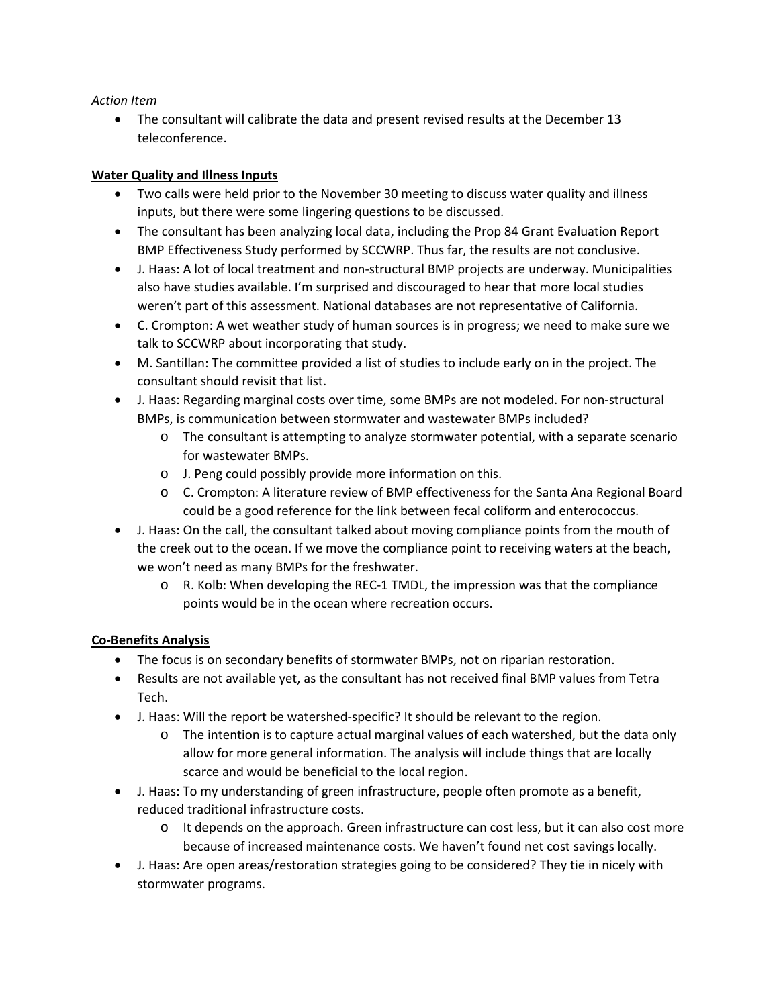### *Action Item*

• The consultant will calibrate the data and present revised results at the December 13 teleconference.

### **Water Quality and Illness Inputs**

- Two calls were held prior to the November 30 meeting to discuss water quality and illness inputs, but there were some lingering questions to be discussed.
- The consultant has been analyzing local data, including the Prop 84 Grant Evaluation Report BMP Effectiveness Study performed by SCCWRP. Thus far, the results are not conclusive.
- J. Haas: A lot of local treatment and non-structural BMP projects are underway. Municipalities also have studies available. I'm surprised and discouraged to hear that more local studies weren't part of this assessment. National databases are not representative of California.
- C. Crompton: A wet weather study of human sources is in progress; we need to make sure we talk to SCCWRP about incorporating that study.
- M. Santillan: The committee provided a list of studies to include early on in the project. The consultant should revisit that list.
- J. Haas: Regarding marginal costs over time, some BMPs are not modeled. For non-structural BMPs, is communication between stormwater and wastewater BMPs included?
	- o The consultant is attempting to analyze stormwater potential, with a separate scenario for wastewater BMPs.
	- o J. Peng could possibly provide more information on this.
	- o C. Crompton: A literature review of BMP effectiveness for the Santa Ana Regional Board could be a good reference for the link between fecal coliform and enterococcus.
- J. Haas: On the call, the consultant talked about moving compliance points from the mouth of the creek out to the ocean. If we move the compliance point to receiving waters at the beach, we won't need as many BMPs for the freshwater.
	- o R. Kolb: When developing the REC-1 TMDL, the impression was that the compliance points would be in the ocean where recreation occurs.

## **Co-Benefits Analysis**

- The focus is on secondary benefits of stormwater BMPs, not on riparian restoration.
- Results are not available yet, as the consultant has not received final BMP values from Tetra Tech.
- J. Haas: Will the report be watershed-specific? It should be relevant to the region.
	- o The intention is to capture actual marginal values of each watershed, but the data only allow for more general information. The analysis will include things that are locally scarce and would be beneficial to the local region.
- J. Haas: To my understanding of green infrastructure, people often promote as a benefit, reduced traditional infrastructure costs.
	- $\circ$  It depends on the approach. Green infrastructure can cost less, but it can also cost more because of increased maintenance costs. We haven't found net cost savings locally.
- J. Haas: Are open areas/restoration strategies going to be considered? They tie in nicely with stormwater programs.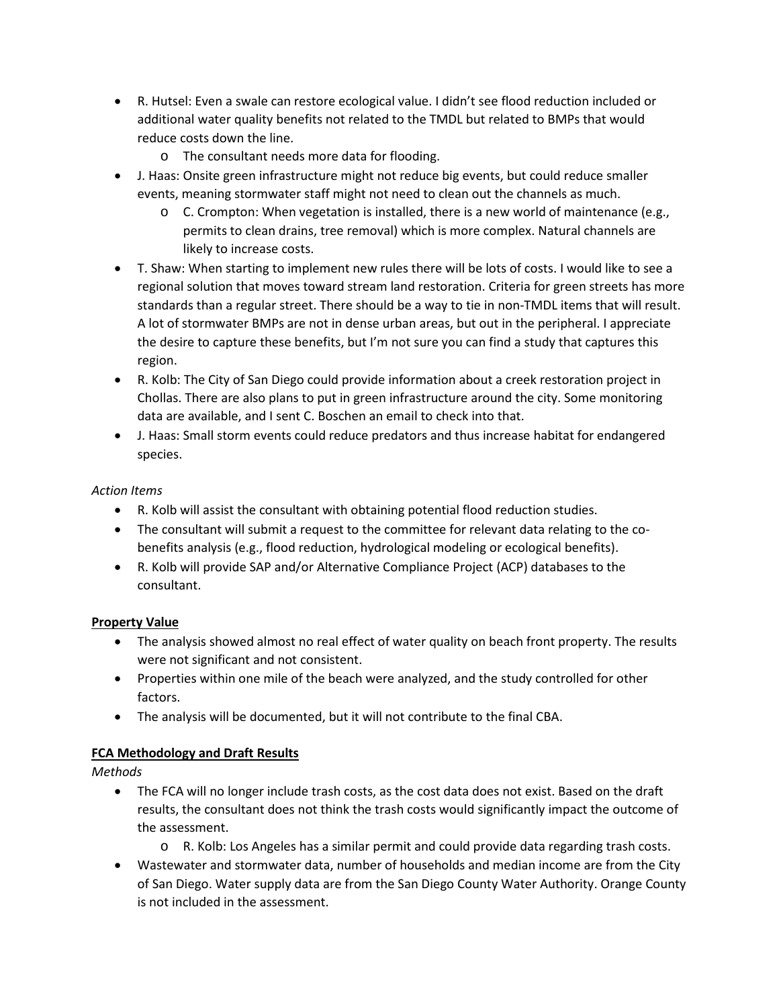- R. Hutsel: Even a swale can restore ecological value. I didn't see flood reduction included or additional water quality benefits not related to the TMDL but related to BMPs that would reduce costs down the line.
	- o The consultant needs more data for flooding.
- J. Haas: Onsite green infrastructure might not reduce big events, but could reduce smaller events, meaning stormwater staff might not need to clean out the channels as much.
	- $\circ$  C. Crompton: When vegetation is installed, there is a new world of maintenance (e.g., permits to clean drains, tree removal) which is more complex. Natural channels are likely to increase costs.
- T. Shaw: When starting to implement new rules there will be lots of costs. I would like to see a regional solution that moves toward stream land restoration. Criteria for green streets has more standards than a regular street. There should be a way to tie in non-TMDL items that will result. A lot of stormwater BMPs are not in dense urban areas, but out in the peripheral. I appreciate the desire to capture these benefits, but I'm not sure you can find a study that captures this region.
- R. Kolb: The City of San Diego could provide information about a creek restoration project in Chollas. There are also plans to put in green infrastructure around the city. Some monitoring data are available, and I sent C. Boschen an email to check into that.
- J. Haas: Small storm events could reduce predators and thus increase habitat for endangered species.

## *Action Items*

- R. Kolb will assist the consultant with obtaining potential flood reduction studies.
- The consultant will submit a request to the committee for relevant data relating to the cobenefits analysis (e.g., flood reduction, hydrological modeling or ecological benefits).
- R. Kolb will provide SAP and/or Alternative Compliance Project (ACP) databases to the consultant.

## **Property Value**

- The analysis showed almost no real effect of water quality on beach front property. The results were not significant and not consistent.
- Properties within one mile of the beach were analyzed, and the study controlled for other factors.
- The analysis will be documented, but it will not contribute to the final CBA.

# **FCA Methodology and Draft Results**

*Methods*

- The FCA will no longer include trash costs, as the cost data does not exist. Based on the draft results, the consultant does not think the trash costs would significantly impact the outcome of the assessment.
	- o R. Kolb: Los Angeles has a similar permit and could provide data regarding trash costs.
- Wastewater and stormwater data, number of households and median income are from the City of San Diego. Water supply data are from the San Diego County Water Authority. Orange County is not included in the assessment.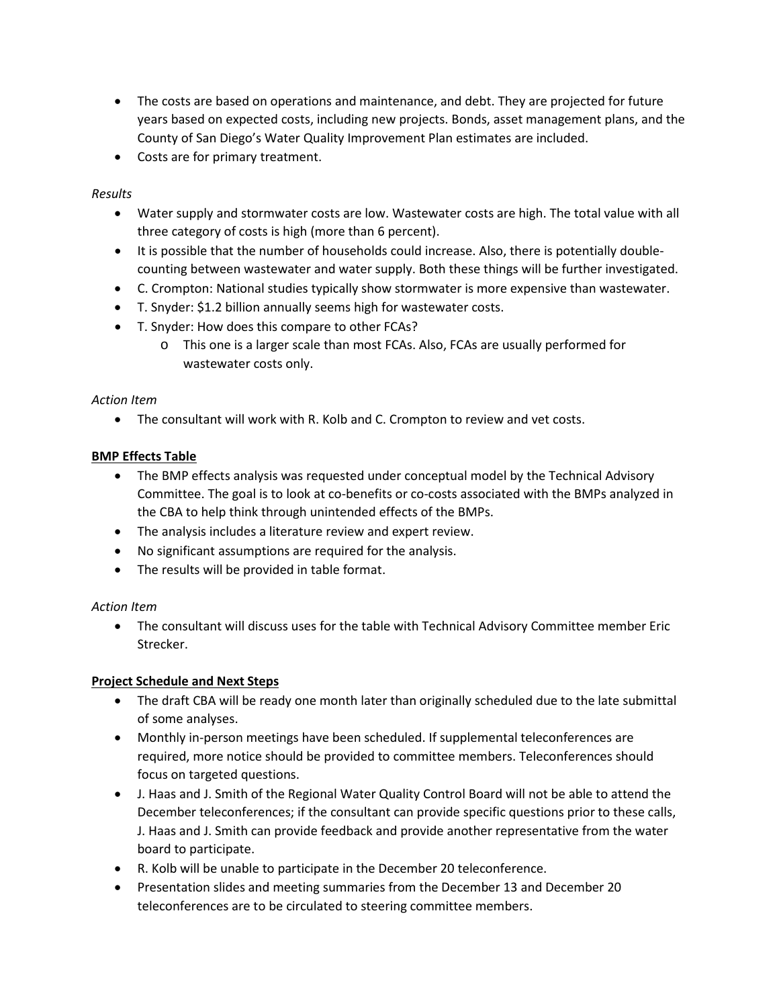- The costs are based on operations and maintenance, and debt. They are projected for future years based on expected costs, including new projects. Bonds, asset management plans, and the County of San Diego's Water Quality Improvement Plan estimates are included.
- Costs are for primary treatment.

#### *Results*

- Water supply and stormwater costs are low. Wastewater costs are high. The total value with all three category of costs is high (more than 6 percent).
- It is possible that the number of households could increase. Also, there is potentially doublecounting between wastewater and water supply. Both these things will be further investigated.
- C. Crompton: National studies typically show stormwater is more expensive than wastewater.
- T. Snyder: \$1.2 billion annually seems high for wastewater costs.
- T. Snyder: How does this compare to other FCAs?
	- o This one is a larger scale than most FCAs. Also, FCAs are usually performed for wastewater costs only.

#### *Action Item*

• The consultant will work with R. Kolb and C. Crompton to review and vet costs.

### **BMP Effects Table**

- The BMP effects analysis was requested under conceptual model by the Technical Advisory Committee. The goal is to look at co-benefits or co-costs associated with the BMPs analyzed in the CBA to help think through unintended effects of the BMPs.
- The analysis includes a literature review and expert review.
- No significant assumptions are required for the analysis.
- The results will be provided in table format.

#### *Action Item*

• The consultant will discuss uses for the table with Technical Advisory Committee member Eric Strecker.

## **Project Schedule and Next Steps**

- The draft CBA will be ready one month later than originally scheduled due to the late submittal of some analyses.
- Monthly in-person meetings have been scheduled. If supplemental teleconferences are required, more notice should be provided to committee members. Teleconferences should focus on targeted questions.
- J. Haas and J. Smith of the Regional Water Quality Control Board will not be able to attend the December teleconferences; if the consultant can provide specific questions prior to these calls, J. Haas and J. Smith can provide feedback and provide another representative from the water board to participate.
- R. Kolb will be unable to participate in the December 20 teleconference.
- Presentation slides and meeting summaries from the December 13 and December 20 teleconferences are to be circulated to steering committee members.